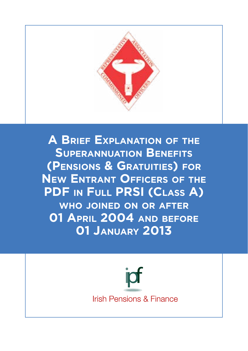

**A Brief Explanation of the Superannuation Benefits (Pensions & Gratuities) for New Entrant Officers of the PDF in Full PRSI (Class A) who joined on or after 01 April 2004 and before 01 January 2013**

> jpf **Irish Pensions & Finance**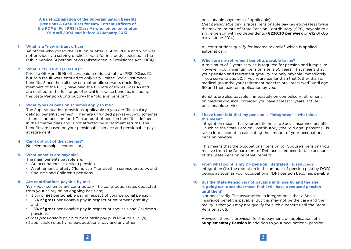**A Brief Explanation of the Superannuation Benefits (Pensions & Gratuities) for New Entrant Officers of the PDF in Full PRSI (Class A) who joined on or after 01 April 2004 and before 01 January 2013.** 

### **1. What is a "new entrant officer"**

An officer who joined the PDF on or after 01 April 2004 and who was not previously a serving public servant (or in a body specified in the Public Service Superannuation (Miscellaneous Provisions) Act 2004).

## **2. What is "Full PRSI (Class A)"?**

Prior to 06 April 1995 officers paid a reduced rate of PRSI (Class C), but as a result were entitled to only very limited Social Insurance benefits. Since then all new entrant public servants (including members of the PDF) have paid the full rate of PRSI (Class A) and are entitled to the full range of social Insurance benefits, including the State Pension Contributory (the "old age pension").

## **3. What types of pension schemes apply to me?**

The Superannuation provisions applicable to you are "final salary defined benefit schemes". They are unfunded pay-as-you-go schemes - there is no pension fund. The amount of pension benefit is defined in the scheme rules and is not affected by investment returns. The benefits are based on your pensionable service and pensionable pay at retirement.

# **4. Can I opt out of the schemes?**

No. Membership is compulsory.

# **5. What benefits are payable?**

The main benefits payable are;

- An occupational (service) pension
- A retirement gratuity ("lump sum") or death in service gratuity; and
- Spouse's and Children's pensions

# **6. Are contributions payable by me?**

Yes – your schemes are contributory. The contribution rates deducted from your salary on an ongoing basis are;

- 3.5% of **net** pensionable pay in respect of your personal pension;
- 1.5% of **gross** pensionable pay in respect of retirement gratuity; and
- 1.5% of **gross** pensionable pay in respect of spouse's and Children's pensions.

*(Gross pensionable pay* is current basic pay plus MSA plus LSI(s) (if applicable) plus flying pay, additional pay and any other

pensionable payments (if applicable))

*(Net pensionable pay* is gross pensionable pay (as above) less twice the maximum rate of State Pension Contributory (SPC) payable to a single person with no dependents (**€230.30 per week** or €12,017.05 p.a. at June 2014)

All contributions qualify for income tax relief, which is applied automatically.

# **7. When are my retirement benefits payable to me?**

A minimum of 2 years service is required for pension and lump sum. However, your minimum pension age is 50 years. That means that your pension and retirement gratuity are only payable immediately if you serve to age 50. If you retire earlier than that (other than on medical grounds) your retirement benefits are "preserved" until age 60 and then paid on application by you.

Benefits are also payable immediately on compulsory retirement on medical grounds, provided you have at least 5 years' actual pensionable service.

# **8. I have been told that my pension is "integrated" – what does this mean?**

Integration means that your entitlement to Social Insurance benefits – such as the State Pension Contributory (the "old age" pension) - is taken into account in calculating the amount of your occupational pension payable.

This means that the occupational pension (or Spouse's pension) you receive from the Department of Defence is reduced to take account of the State Pension or other benefits.

# **9. From what point is my DF pension integrated i.e. reduced?**

Integration (i.e. the reduction in the amount of pension paid by DOD) begins as soon as your occupational (DF) pension becomes payable.

## **10. But the State Pension is not payable until age 66 and the age is going up– does that mean that I will have a reduced pension until then?**

Not necessarily. The assumption in integration is that a Social Insurance benefit is payable. But this may not be the case and the reality is that you may not qualify for such a benefit until the State Pension at 66.

However, there is provision for the payment, on application, of a **Supplementary Pension** in addition to your occupational pension

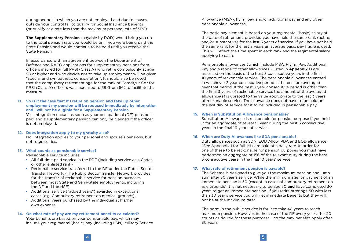during periods in which you are not employed and due to causes outside your control fail to qualify for Social Insurance benefits (or qualify at a rate less than the maximum personal rate of SPC).

**The Supplementary Pension** (payable by DOD) would bring you up to the total pension rate you would be on if you were being paid the State Pension and would continue to be paid until you receive the State Pension.

In accordance with an agreement between the Department of Defence and RACO applications for supplementary pensions from officers insured for full PRSI (Class A) who retire compulsorily at age 58 or higher and who decide not to take up employment will be given "special and sympathetic consideration". It should also be noted that the compulsory retirement age for the rank of Comdt/Lt Cdr for PRSI (Class A) officers was increased to 58 (from 56) to facilitate this measure.

# **11. So is it the case that if I retire on pension and take up other employment my pension will be reduced immediately by integration and I will not be eligible for a Supplementary Pension.**

Yes. Integration occurs as soon as your occupational (DF) pension is paid and a supplementary pension can only be claimed if the officer is not employed.

## **12. Does integration apply to my gratuity also?**

No. Integration applies to your personal and spouse's pensions, but not to gratuities.

## **13. What counts as pensionable service?**

Pensionable service includes;

- All full-time paid service in the PDF (including service as a Cadet or other enlisted rank)
- Reckonable service transferred to the DF under the Public Sector Transfer Network. (The Public Sector Transfer Network provides for the transfer of reckonable service for pension purposes between most State and Semi-State employments, including the DF and the HSE)
- Additional service ("added years") awarded in exceptional cases (e.g. Compulsory retirement on medical grounds).
- Additional years purchased by the individual at his/her own expense.

# **14. On what rate of pay are my retirement benefits calculated?**

Your benefits are based on your pensionable pay, which may include your regimental (basic) pay (including LSIs), Military Service Allowance (MSA), flying pay and/or additional pay and any other pensionable allowances.

The basic pay element is based on your regimental (basic) salary at the date of retirement, provided you have held the same rank (acting and/or substantive) for the last 3 years of service. If you have not held the same rank for the last 3 years an average basic pay figure is used. This will reflect the time spent in each rank and the regimental salary applying to each.

Pensionable allowances (which include MSA, Flying Pay, Additional Pay and a range of other allowances – listed in **Appendix 1**) are assessed on the basis of the best 3 consecutive years in the final 10 years of reckonable service. The pensionable allowances earned in whichever 3 year consecutive period is the best are averaged over that period. If the best 3 year consecutive period is other than the final 3 years of reckonable service, the amount of the averaged allowance(s) is uprated to the value appropriate to the last 3 years of reckonable service. The allowance does not have to be held on the last day of service for it to be included in pensionable pay.

## **15. When is Substitution Allowance pensionable?**

Substitution Allowance is reckonable for pension purpose if you held it for an aggregate of at least 1 year during the best 3 consecutive years in the final 10 years of service.

## **16. When are Duty Allowances like SDA pensionable?**

Duty allowances such as SDA, EOD Allow, PDA and EOD allowance (See Appendix 1 for full list) are paid at a daily rate. In order for one of these to be reckonable for pension purposes you must have performed an aggregate of 156 of the relevant duty during the best 3 consecutive years in the final 10 years' service.

# **17. What rate of retirement pension is payable?**

The Scheme is designed to give you the maximum pension and lump sum after 30 year's service. While the minimum age for payment of an immediate pension is 50 (except in cases of compulsory retirement on age grounds) it is **not** necessary to be age 50 **and** have completed 30 years to get an immediate pension. If you retire after age 50 with less than 30 year's service you will get immediate benefits but they will not be at the maximum rates.

The norm in the public service is for it to take 40 years to reach maximum pension. However, in the case of the DF every year after 20 counts as double for these purposes – so the max benefits apply after 30 years.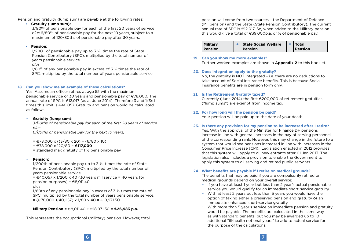Pension and gratuity (lump sum) are payable at the following rates;

## • **Gratuity (lump sum):**

3/80ths of pensionable pay for each of the first 20 years of service *plus* 6/80ths of pensionable pay for the next 10 years, subject to a maximum of 120/80ths of pensionable pay after 30 years.

# • **Pension:**

 $1/200$ <sup>th</sup> of pensionable pay up to 3  $\frac{1}{2}$  times the rate of State Pension Contributory (SPC), multiplied by the total number of years pensionable service

*plus*

 $1/80$ <sup>th</sup> of any pensionable pay in excess of 3  $\frac{1}{2}$  times the rate of SPC, multiplied by the total number of years pensionable service.

# **18. Can you show me an example of these calculations?**

Yes. Assume an officer retires at age 55 with the maximum pensionable service of 30 years and pensionable pay of €78,000. The annual rate of SPC is €12,017 (as at June 2014). Therefore 3 and 1/3rd times this limit is €40,057. Gratuity and pension would be calculated as follows:

# • **Gratuity (lump sum):**

*3/80ths of pensionable pay for each of the first 20 years of service plus*

 *6/80ths of pensionable pay for the next 10 years,* 

- $= 678,000 \times ((3/80 \times 20) + (6/80 \times 10))$
- = €78,000 x 120/80 = **€117,000**
- $=$  standard max gratuity of 1  $\frac{1}{2}$  pensionable pay

# • **Pension:**

 1/200th of pensionable pay up to 3 ½ times the rate of State Pension Contributory (SPC), multiplied by the total number of years pensionable service

 $= \epsilon$ 40,057 x 1/200 x 40 (30 years mil service = 40 years for pension purposes) =  $\text{\textsterling}8,011.40$ 

plus

1/80th of any pensionable pay in excess of 3 <sup>1</sup>/<sub>2</sub> times the rate of SPC, multiplied by the total number of years pensionable service.  $=$  (€78,000-€40,057) x 1/80 x 40 = €18,971,50

**Military Pension** = €8,011.40 + €18,971.50 = **€26,983 p.a.**

This represents the occupational (military) pension. However, total

pension will come from two sources – the Department of Defence (Mil pension) and the State (State Pension Contributory). The current annual rate of SPC is €12,017. So, when added to the Military pension this would give a total of  $\epsilon$ 39.000p.a. or  $\frac{1}{2}$  of pensionable pay.

| Military       | <b>+ State Social Welfare</b> | Total          |
|----------------|-------------------------------|----------------|
| <b>Pension</b> | <b>Pension</b>                | <b>Pension</b> |

# **19. Can you show me more examples?**

Further worked examples are shown in **Appendix 2** to this booklet.

# **20. Does integration apply to the gratuity?**

No, the gratuity is NOT integrated – i.e. there are no deductions to take account of Social Insurance benefits. This is because Social Insurance benefits are in pension form only.

# **21. Is the Retirement Gratuity taxed?**

Currently (June 2014) the first  $\epsilon$  200,000 of retirement gratuities ("lump sums") are exempt from income tax.

# **22. For how long will the pension be paid?**

Your pension will be paid up to the date of your death.

# **23. Is there any provision for my pension to be increased after I retire?**

Yes. With the approval of the Minister for Finance DF pensions increase in line with general increases in the pay of serving personnel of the corresponding rank. However, this may change in the future to a system that would see pensions increased in line with increases in the Consumer Price Increase (CPI). Legislation enacted in 2012 provides that this system will apply to all new entrants after 01 Jan 2013. The legislation also includes a provision to enable the Government to apply this system to all serving and retired public servants.

# **24. What benefits are payable if I retire on medical grounds?**

The benefits that may be paid if you are compulsorily retired on medical grounds depend on your overall service;

- If you have at least 1 year but less than 2 year's actual pensionable service you would qualify for an immediate short-service gratuity.
- With at least 2 years but less than 5 years you would have the option of taking either a preserved pension and gratuity **or** an immediate enhanced short-service gratuity.
- With more than 5 year's service an immediate pension and gratuity would be payable. The benefits are calculated in the same way as with standard benefits, but you may be awarded up to 10 additional "ill-health notional years" to add to actual service for the purpose of the calculations.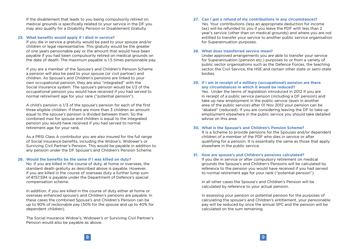If the disablement that leads to you being compulsorily retired on medical grounds is specifically related to your service in the DF you may also qualify for a Disability Pension or Disablement Gratuity.

#### **25. What benefits would apply if I died in service?**

If you die in service a gratuity would be paid to your spouse and/or children or legal representative. This gratuity would be the greater of one years pensionable pay or the amount that would have been payable if you had been compulsorily retired on medical grounds on the date of death. The maximum payable is 1.5 times pensionable pay.

If you are a member of the Spouse's and Children's Pension Scheme a pension will also be paid to your spouse (or civil partner) and children. As Spouse's and Children's pensions are linked to your own occupational pension, they are also "integrated" with the Social Insurance system. The spouse's pension would be 1/2 of the occupational pension you would have received if you had served to normal retirement age for your rank ("potential pension").

A child's pension is 1/3 of the spouse's pension for each of the first three eligible children. If there are more than 3 children an amount equal to the spouse's pension is divided between them. So the combined max for spouse and children is equal to the integrated pension you would have received if you had served to normal retirement age for your rank.

As a PRSI Class A contributor you are also insured for the full range of Social Insurance benefits, including the Widow's, Widower's or Surviving Civil Partner's Pension. This would be payable in addition to any pension under the DF Spouse's and Children's Pension Scheme.

## **26. Would the benefits be the same if I was killed on duty?**

No. If you are killed in the course of duty, at home or overseas, the standard death gratuity as described above is payable. However, if you are killed in the course of overseas duty a further lump sum of €157,594 is payable under the Department of Defence's special compensation scheme.

In addition, if you are killed in the course of duty either at home or overseas enhanced spouse's and Children's pensions are payable. In these cases the combined Spouse's and Children's Pension can be up to 90% of reckonable pay (50% for the spouse and up to 40% for dependent children).

The Social Insurance Widow's, Widower's or Surviving Civil Partner's Pension would also be payable as above.

#### **27. Can I get a refund of my contributions in any circumstances?**

Yes. Your contributions (less an appropriate deduction for income tax) will be refunded to you if you leave the PDF with less than 2 year's service (other than on medical grounds) and where you are not entitled to transfer your service to another public service organisation for Superannuation purposes.

#### **28. What does transferred service mean?**

Under approved arrangements you are able to transfer your service for Superannuation (pension etc.) purposes to or from a variety of public sector organisations such as the Defence Forces, the teaching sector, the Civil Service, the HSE and certain other state or semi-state bodies.

### **29. If I am in receipt of a military (occupational) pension are there any circumstances in which it would be reduced?**

Yes. Under the terms of legislation introduced in 2012 if you are in receipt of a public service pension (including a DF pension) and take up new employment in the public service (even in another area of the public service) after 01 Nov 2012 your pension can be "abated" (reduced). If you are considering leaving the DF to take up employment elsewhere in the public service you should take detailed advise on this area.

#### **30. What is the Spouse's and Children's Pension Scheme?**

It is a Scheme to provide pensions for the Spouses and/or dependent children of a member of the PDF who dies in service or after qualifying for a pension. It is essentially the same as those that apply elsewhere in the public service.

#### **31. How are spouse's and Children's pensions calculated?**

If you die in service or after compulsory retirement on medical grounds the Spouse's and Children's Pensions will be calculated by reference to the pension you would have received if you had served to normal retirement age for your rank ("potential pension").

In all other cases the Spouse's and Children's Pension will be calculated by reference to your actual pension.

In assessing your pension or potential pension for the purposes of calculating the spouse's and Children's entitlement, your pensionable pay will be reduced by once the annual SPC and the pension will be calculated on the sum remaining.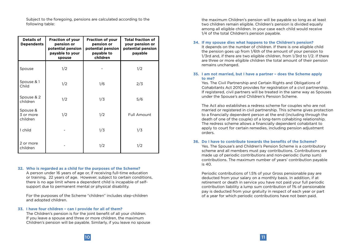Subject to the foregoing, pensions are calculated according to the following table:

| <b>Details of</b><br><b>Dependents</b> | <b>Fraction of your</b><br>pension or<br>potential pension<br>payable to your<br>spouse | <b>Fraction of your</b><br>pension or<br>potential pension<br>payable to<br>children | <b>Total fraction of</b><br>your pension or<br>potential pension<br>payable |
|----------------------------------------|-----------------------------------------------------------------------------------------|--------------------------------------------------------------------------------------|-----------------------------------------------------------------------------|
| Spouse                                 | 1/2                                                                                     |                                                                                      | 1/2                                                                         |
| Spouse & 1<br>Child                    | 1/2                                                                                     | 1/6                                                                                  | 2/3                                                                         |
| Spouse & 2<br>children                 | 1/2                                                                                     | 1/3                                                                                  | 5/6                                                                         |
| Spouse &<br>3 or more<br>children      | 1/2                                                                                     | 1/2                                                                                  | Full Amount                                                                 |
| 1 child                                |                                                                                         | 1/3                                                                                  | 1/3                                                                         |
| 2 or more<br>children                  |                                                                                         | 1/2                                                                                  | 1/2                                                                         |

#### **32. Who is regarded as a child for the purposes of the Scheme?**

A person under 16 years of age or, if receiving full-time education or training, 22 years of age. However, subject to certain conditions, there is no age limit where a dependent child is incapable of selfsupport due to permanent mental or physical disability.

For the purposes of the Scheme "children" includes step-children and adopted children.

#### **33. I have four children – can I provide for all of them?**

The Children's pension is for the joint benefit of all your children. If you leave a spouse and three or more children, the maximum Children's pension will be payable. Similarly, if you leave no spouse the maximum Children's pension will be payable so long as at least two children remain eligible. Children's pension is divided equally among all eligible children. In your case each child would receive 1/4 of the total Children's pension payable.

#### **34. If my spouse dies what happens to the Children's pension?**

It depends on the number of children. If there is one eligible child the pension goes up from 1/6th of the amount of your pension to 1/3rd and, if there are two eligible children, from 1/3rd to 1/2. If there are three or more eligible children the total amount of their pension remains unchanged.

## **35. I am not married, but I have a partner – does the Scheme apply to me?**

Yes. The Civil Partnership and Certain Rights and Obligations of Cohabitants Act 2010 provides for registration of a civil partnership. If registered, civil partners will be treated in the same way as Spouses under the Spouse's and Children's Pension Scheme.

The Act also establishes a redress scheme for couples who are not married or registered in civil partnership. This scheme gives protection to a financially dependent person at the end (including through the death of one of the couple) of a long-term cohabiting relationship. The redress scheme allows a financially dependent cohabitant to apply to court for certain remedies, including pension adjustment orders.

#### **36. Do I have to contribute towards the benefits of the Scheme?**

Yes. The Spouse's and Children's Pension Scheme is a contributory scheme and all members must pay contributions. Contributions are made up of periodic contributions and non-periodic (lump sum) contributions. The maximum number of years' contribution payable is 40.

Periodic contributions of 1.5% of your Gross pensionable pay are deducted from your salary on a monthly basis. In addition, if at retirement or death in service you have not paid your full periodic contribution liability a lump sum contribution of 1% of pensionable pay is deducted from your gratuity in respect of each year or part of a year for which periodic contributions have not been paid.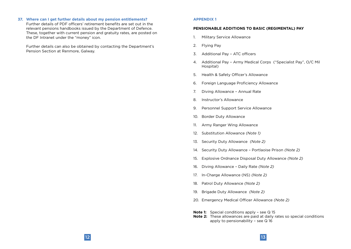**37. Where can I get further details about my pension entitlements?**

Further details of PDF officers' retirement benefits are set out in the relevant pensions handbooks issued by the Department of Defence. These, together with current pension and gratuity rates, are posted on the DF Intranet under the "money" icon.

Further details can also be obtained by contacting the Department's Pension Section at Renmore, Galway.

#### **APPENDIX 1**

#### **PENSIONABLE ADDITIONS TO BASIC (REGIMENTAL) PAY**

- 1. Military Service Allowance
- 2. Flying Pay
- 3. Additional Pay ATC officers
- 4. Additional Pay Army Medical Corps ("Specialist Pay", O/C Mil Hospital)
- 5. Health & Safety Officer's Allowance
- 6. Foreign Language Proficiency Allowance
- 7. Diving Allowance Annual Rate
- 8. Instructor's Allowance
- 9. Personnel Support Service Allowance
- 10. Border Duty Allowance
- 11. Army Ranger Wing Allowance
- 12. Substitution Allowance *(Note 1)*
- 13. Security Duty Allowance *(Note 2)*
- 14. Security Duty Allowance Portlaoise Prison *(Note 2)*
- 15. Explosive Ordnance Disposal Duty Allowance *(Note 2)*
- 16. Diving Allowance Daily Rate *(Note 2)*
- 17. In-Charge Allowance (NS) *(Note 2)*
- 18. Patrol Duty Allowance *(Note 2)*
- 19. Brigade Duty Allowance *(Note 2)*
- 20. Emergency Medical Officer Allowance *(Note 2)*
- **Note 1:** Special conditions apply see Q 15
- **Note 2:** These allowances are paid at daily rates so special conditions apply to pensionability – see Q 16

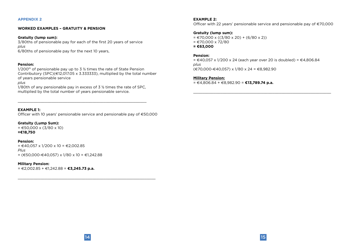#### **APPENDIX 2**

## **WORKED EXAMPLES – GRATUITY & PENSION**

#### **Gratuity (lump sum):**

3/80ths of pensionable pay for each of the first 20 years of service *plus* 6/80ths of pensionable pay for the next 10 years,

## **Pension:**

 $1/200$ <sup>th</sup> of pensionable pay up to 3  $\frac{1}{2}$  times the rate of State Pension Contributory (SPC)( $\in$ 12,017.05 x 3.333333), multiplied by the total number of years pensionable service

*plus*

1/80th of any pensionable pay in excess of 3 <sup>1</sup>/<sub>2</sub> times the rate of SPC. multiplied by the total number of years pensionable service.

\_\_\_\_\_\_\_\_\_\_\_\_\_\_\_\_\_\_\_\_\_\_\_\_\_\_\_\_\_\_\_\_\_\_\_\_\_\_\_\_\_\_\_\_\_\_\_\_\_\_\_\_\_\_\_\_\_

# **EXAMPLE 1:**

Officer with 10 years' pensionable service and pensionable pay of €50,000

### **Gratuity (Lump Sum):**

 $= \text{\textsterling}50,000 \times (3/80 \times 10)$ **=€18,750**

## **Pension:**

 $= €40,057 \times 1/200 \times 10 = €2,002.85$ *Plus*  $=$  (€50,000-€40,057) x 1/80 x 10 = €1,242,88

#### **Military Pension:**

= €2,002.85 + €1,242.88 = **€3,245.73 p.a.**

**EXAMPLE 2:**

Officer with 22 years' pensionable service and pensionable pay of €70,000

## **Gratuity (lump sum):**

 $=$   $\in$  70,000 x ((3/80 x 20) + (6/80 x 2))  $= 670,000 \times 72/80$ 

**= €63,000** 

## **Pension:**

 $= €40,057 \times 1/200 \times 24$  (each year over 20 is doubled) = €4,806.84 *plus* (€70,000-€40,057) x 1/80 x 24 = €8,982.90

 $\_$  , and the set of the set of the set of the set of the set of the set of the set of the set of the set of the set of the set of the set of the set of the set of the set of the set of the set of the set of the set of th

#### **Military Pension:**

= €4,806.84 + €8,982.90 = **€13,789.74 p.a.** 

 $\_$  , and the set of the set of the set of the set of the set of the set of the set of the set of the set of the set of the set of the set of the set of the set of the set of the set of the set of the set of the set of th